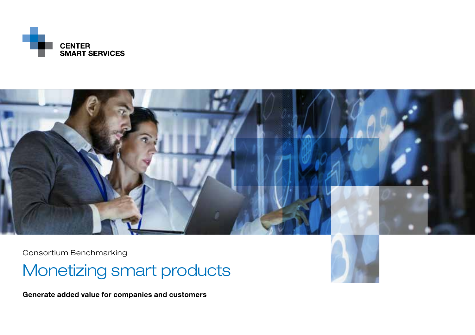



Consortium Benchmarking

Monetizing smart products

Generate added value for companies and customers

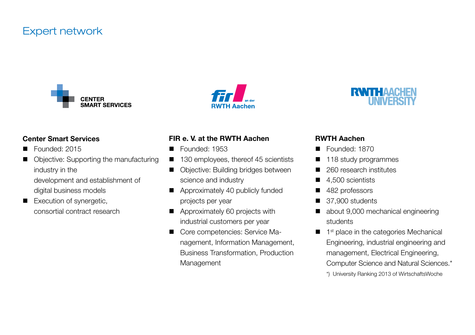# Expert network







#### Center Smart Services

- Founded: 2015
- Objective: Supporting the manufacturing industry in the
	- development and establishment of digital business models
- Execution of synergetic, consortial contract research

### FIR e. V. at the RWTH Aachen

- Founded: 1953
- 130 employees, thereof 45 scientists
- Objective: Building bridges between science and industry
- Approximately 40 publicly funded projects per year
- Approximately 60 projects with industrial customers per year
- Core competencies: Service Management, Information Management, Business Transformation, Production Management

### RWTH Aachen

- Founded: 1870
- 118 study programmes
- 260 research institutes
- $\blacksquare$  4.500 scientists
- $\blacksquare$  482 professors
- $\blacksquare$  37,900 students
- about 9,000 mechanical engineering students
- $\blacksquare$  1<sup>st</sup> place in the categories Mechanical Engineering, industrial engineering and management, Electrical Engineering, Computer Science and Natural Sciences.\* \*) University Ranking 2013 of WirtschaftsWoche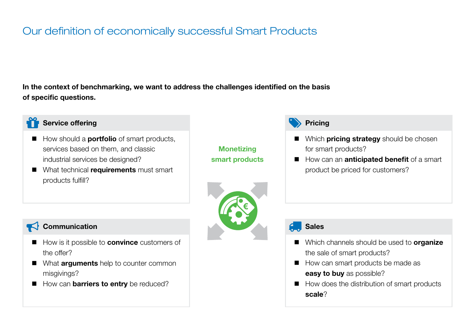# Our definition of economically successful Smart Products

In the context of benchmarking, we want to address the challenges identified on the basis of specific questions.



### Service offering **Pricial Contract of the Contract of Contract Contract Only and Pricing Pricing**

- $\blacksquare$  How should a **portfolio** of smart products, services based on them, and classic industrial services be designed?
- What technical requirements must smart products fulfill?

**Monetizing** smart products



- $\blacksquare$  Which **pricing strategy** should be chosen for smart products?
- How can an **anticipated benefit** of a smart product be priced for customers?

## Communication Sales

- $\blacksquare$  How is it possible to **convince** customers of the offer?
- What **arguments** help to counter common misgivings?
- How can **barriers to entry** be reduced?

- Which channels should be used to organize the sale of smart products?
- $\blacksquare$  How can smart products be made as easy to buy as possible?
- $\blacksquare$  How does the distribution of smart products scale?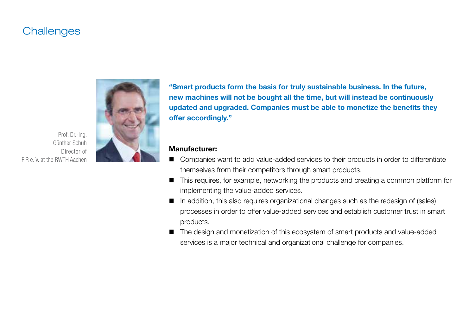# **Challenges**



"Smart products form the basis for truly sustainable business. In the future, new machines will not be bought all the time, but will instead be continuously updated and upgraded. Companies must be able to monetize the benefits they offer accordingly."

#### Manufacturer:

- Companies want to add value-added services to their products in order to differentiate themselves from their competitors through smart products.
- $\blacksquare$  This requires, for example, networking the products and creating a common platform for implementing the value-added services.
- $\blacksquare$  In addition, this also requires organizational changes such as the redesign of (sales) processes in order to offer value-added services and establish customer trust in smart products.
- The design and monetization of this ecosystem of smart products and value-added services is a major technical and organizational challenge for companies.

Prof. Dr.-Ing. Günther Schuh Director of FIR e. V. at the RWTH Aachen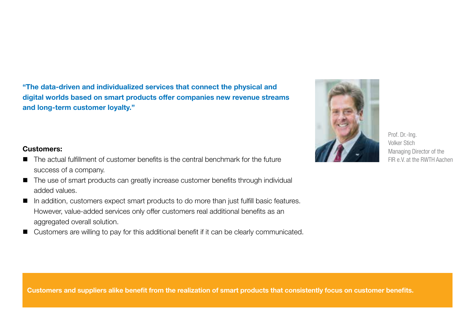"The data-driven and individualized services that connect the physical and digital worlds based on smart products offer companies new revenue streams and long-term customer loyalty."



Prof. Dr.-Ing. Volker Stich Managing Director of the FIR e.V. at the RWTH Aachen

### Customers:

- $\blacksquare$  The actual fulfillment of customer benefits is the central benchmark for the future success of a company.
- The use of smart products can greatly increase customer benefits through individual added values.
- $\blacksquare$  In addition, customers expect smart products to do more than just fulfill basic features. However, value-added services only offer customers real additional benefits as an aggregated overall solution.
- Customers are willing to pay for this additional benefit if it can be clearly communicated.

Customers and suppliers alike benefit from the realization of smart products that consistently focus on customer benefits.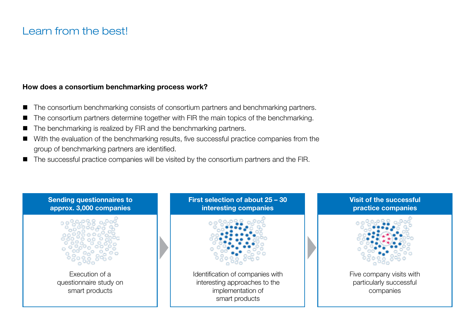# Learn from the best!

### How does a consortium benchmarking process work?

- $\blacksquare$  The consortium benchmarking consists of consortium partners and benchmarking partners.
- $\blacksquare$  The consortium partners determine together with FIR the main topics of the benchmarking.
- $\blacksquare$  The benchmarking is realized by FIR and the benchmarking partners.
- n With the evaluation of the benchmarking results, five successful practice companies from the group of benchmarking partners are identified.
- $\blacksquare$  The successful practice companies will be visited by the consortium partners and the FIR.

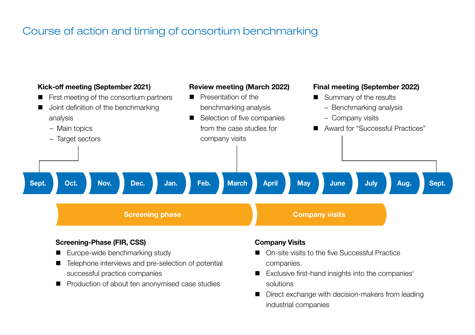# Course of action and timing of consortium benchmarking



### Screening-Phase (FIR, CSS)

- Europe-wide benchmarking study
- Telephone interviews and pre-selection of potential successful practice companies
- Production of about ten anonymised case studies

#### Company Visits

- On-site visits to the five Successful Practice companies.
- Exclusive first-hand insights into the companies' solutions
- Direct exchange with decision-makers from leading industrial companies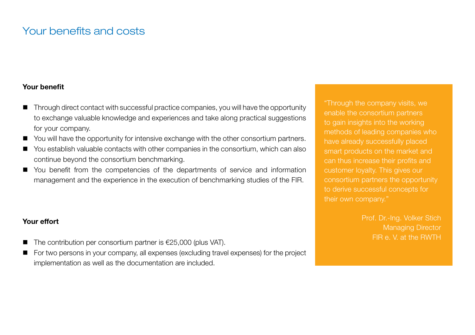# Your benefits and costs

### Your benefit

- Through direct contact with successful practice companies, you will have the opportunity to exchange valuable knowledge and experiences and take along practical suggestions for your company.
- $\blacksquare$  You will have the opportunity for intensive exchange with the other consortium partners.
- You establish valuable contacts with other companies in the consortium, which can also continue beyond the consortium benchmarking.
- You benefit from the competencies of the departments of service and information management and the experience in the execution of benchmarking studies of the FIR.

## Your effort

- The contribution per consortium partner is  $E$ 25,000 (plus VAT).
- For two persons in your company, all expenses (excluding travel expenses) for the project implementation as well as the documentation are included.

"Through the company visits, we enable the consortium partners to gain insights into the working methods of leading companies who have already successfully placed smart products on the market and can thus increase their profits and customer loyalty. This gives our consortium partners the opportunity to derive successful concepts for their own company."

> Prof. Dr.-Ing. Volker Stich Managing Director FIR e. V. at the RWTH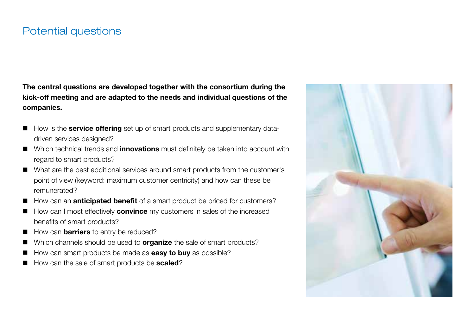# Potential questions

The central questions are developed together with the consortium during the kick-off meeting and are adapted to the needs and individual questions of the companies.

- How is the **service offering** set up of smart products and supplementary datadriven services designed?
- Which technical trends and *innovations* must definitely be taken into account with regard to smart products?
- n What are the best additional services around smart products from the customer's point of view (keyword: maximum customer centricity) and how can these be remunerated?
- How can an **anticipated benefit** of a smart product be priced for customers?
- How can I most effectively **convince** my customers in sales of the increased benefits of smart products?
- How can **barriers** to entry be reduced?
- Which channels should be used to **organize** the sale of smart products?
- $\blacksquare$  How can smart products be made as **easy to buy** as possible?
- How can the sale of smart products be **scaled**?

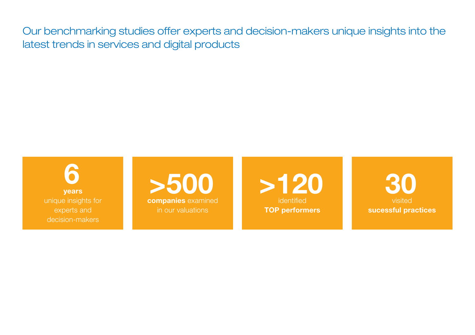Our benchmarking studies offer experts and decision-makers unique insights into the latest trends in services and digital products

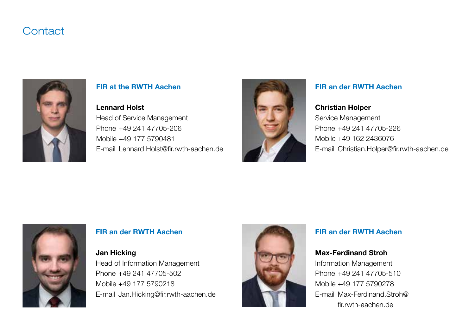# **Contact**



### FIR at the RWTH Aachen

#### Lennard Holst

Head of Service Management Phone +49 241 47705-206 Mobile +49 177 5790481 E-mail Lennard.Holst@fir.rwth-aachen.de



### FIR an der RWTH Aachen

#### Christian Holper

Service Management Phone +49 241 47705-226 Mobile +49 162 2436076 E-mail Christian.Holper@fir.rwth-aachen.de



### FIR an der RWTH Aachen

### Jan Hicking

Head of Information Management Phone +49 241 47705-502 Mobile +49 177 5790218 E-mail Jan.Hicking@fir.rwth-aachen.de



## FIR an der RWTH Aachen

### Max-Ferdinand Stroh

Information Management Phone +49 241 47705-510 Mobile +49 177 5790278 E-mail Max-Ferdinand.Stroh@ fir.rwth-aachen.de